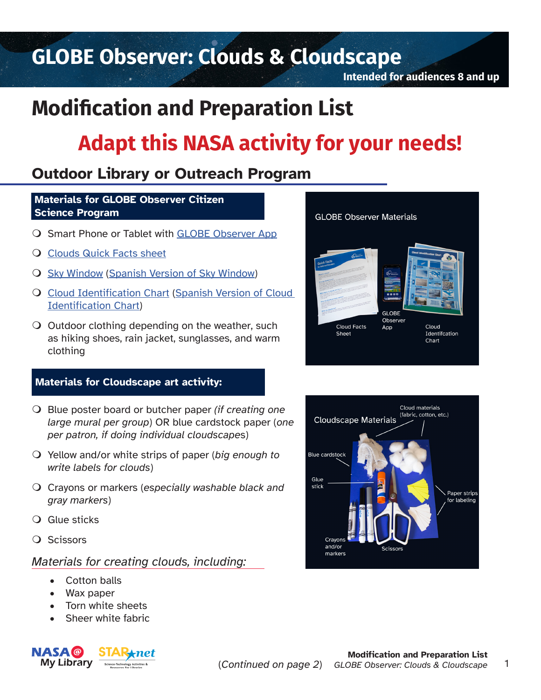## **GLOBE Observer: Clouds & Cloudscape**

**Intended for audiences 8 and up**

**GLOBE Observer Materials** 

**Cloud Facts** 

Sheet

**GLOBE** Observer

Cloud

Identifcation Chart

App

## **Modification and Preparation List**

# **Adapt this NASA activity for your needs!**

### **Outdoor Library or Outreach Program**

#### **Materials for GLOBE Observer Citizen Science Program**

- O Smart Phone or Tablet with [GLOBE Observer App](https://observer.globe.gov/about/get-the-app)
- **Q [Clouds Quick Facts sheet](https://observer.globe.gov/documents/19589576/34698231-85eb-4524-8667-f65473bff854)**
- **O** [Sky Window](https://www.globe.gov/documents/16792331/19458623/GLOBECloudSkyWindow_Final.pdf) ([Spanish Version of Sky Window](https://observer.globe.gov/documents/19589576/51873111/GraficoDeNubesGLOBE-VentanaDelCielo.pdf))
- **Q** [Cloud Identification Chart](https://observer.globe.gov/documents/19589576/51873111/GLOBECloudIDChartEnglish.pdf) ([Spanish Version of Cloud](https://observer.globe.gov/documents/19589576/51873111/GLOBECloudIDChartSpanish.pdf) [Identification Chart\)](https://observer.globe.gov/documents/19589576/51873111/GLOBECloudIDChartSpanish.pdf)
- $\overline{O}$  Outdoor clothing depending on the weather, such as hiking shoes, rain jacket, sunglasses, and warm clothing

#### **Materials for Cloudscape art activity:**

- Blue poster board or butcher paper *(if creating one large mural per group*) OR blue cardstock paper (*one per patron, if doing individual cloudscape*s)
- Yellow and/or white strips of paper (*big enough to write labels for clouds*)
- Crayons or markers (*especially washable black and gray markers*)
- Glue sticks
- Q Scissors

#### *Materials for creating clouds, including:*

- Cotton balls
- Wax paper
- Torn white sheets
- Sheer white fabric



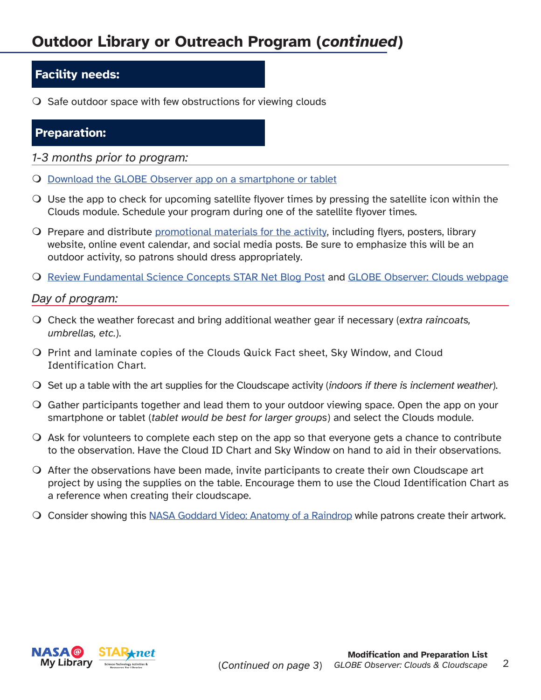## **Outdoor Library or Outreach Program (***continued***)**

#### **Facility needs:**

 $\Omega$  Safe outdoor space with few obstructions for viewing clouds

#### **Preparation:**

- *1-3 months prior to program:*
- [Download the GLOBE Observer app on a smartphone or tablet](https://observer.globe.gov/about/get-the-app)
- $\Omega$  Use the app to check for upcoming satellite flyover times by pressing the satellite icon within the Clouds module. Schedule your program during one of the satellite flyover times.
- $\overline{O}$  Prepare and distribute [promotional materials for the activity,](https://observer.globe.gov/toolkit/clouds-toolkit/printables-and-promotional-materials) including flyers, posters, library website, online event calendar, and social media posts. Be sure to emphasize this will be an outdoor activity, so patrons should dress appropriately.
- O [Review Fundamental Science Concepts STAR Net Blog Post](https://www.starnetlibraries.org/our-blue-planet-earth-featured-activity-globe-observer-clouds-and-cloudscapes/) and [GLOBE Observer: Clouds webpage](https://observer.globe.gov/toolkit/clouds-toolkit)

#### *Day of program:*

- Check the weather forecast and bring additional weather gear if necessary (*extra raincoats, umbrellas, etc.*).
- O Print and laminate copies of the Clouds Quick Fact sheet, Sky Window, and Cloud Identification Chart.
- Set up a table with the art supplies for the Cloudscape activity (*indoors if there is inclement weather*).
- Gather participants together and lead them to your outdoor viewing space. Open the app on your smartphone or tablet (*tablet would be best for larger groups*) and select the Clouds module.
- $\Omega$  Ask for volunteers to complete each step on the app so that everyone gets a chance to contribute to the observation. Have the Cloud ID Chart and Sky Window on hand to aid in their observations.
- After the observations have been made, invite participants to create their own Cloudscape art project by using the supplies on the table. Encourage them to use the Cloud Identification Chart as a reference when creating their cloudscape.
- Consider showing this [NASA Goddard Video: Anatomy of a Raindrop](https://www.youtube.com/watch?v=46otS0Wjz-E) while patrons create their artwork.

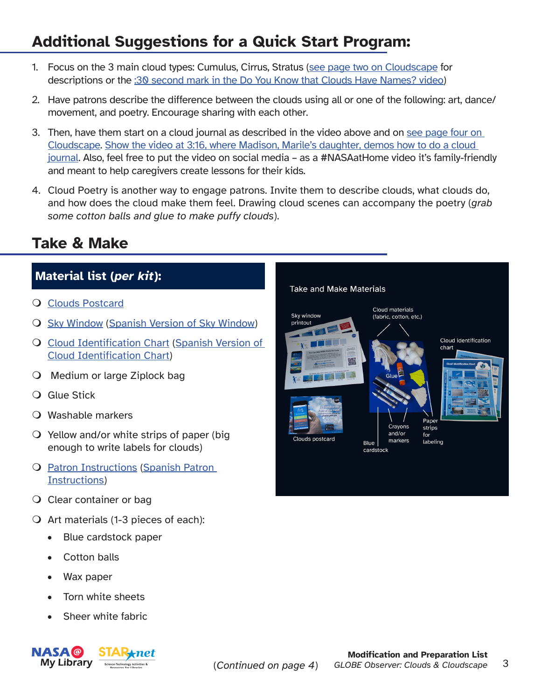## **Additional Suggestions for a Quick Start Program:**

- 1. Focus on the 3 main cloud types: Cumulus, Cirrus, Stratus [\(see page two on Cloudscape](https://scool.larc.nasa.gov/pdf/ElementaryGLOBE_CloudsActivity2_en.pdf) for descriptions or the [:30 second mark in the Do You Know that Clouds Have Names? video\)](https://www.youtube.com/watch?v=vpYXh3xHoS4&t=30s)
- 2. Have patrons describe the difference between the clouds using all or one of the following: art, dance/ movement, and poetry. Encourage sharing with each other.
- 3. Then, have them start on a cloud journal as described in the video above and on [see page four on](https://scool.larc.nasa.gov/pdf/ElementaryGLOBE_CloudsActivity2_en.pdf) [Cloudscape.](https://scool.larc.nasa.gov/pdf/ElementaryGLOBE_CloudsActivity2_en.pdf) [Show the video at 3:16, where Madison, Marile's daughter, demos how to do a cloud](https://www.youtube.com/watch?v=vpYXh3xHoS4&t=196s) [journal.](https://www.youtube.com/watch?v=vpYXh3xHoS4&t=196s) Also, feel free to put the video on social media – as a #NASAatHome video it's family-friendly and meant to help caregivers create lessons for their kids.
- 4. Cloud Poetry is another way to engage patrons. Invite them to describe clouds, what clouds do, and how does the cloud make them feel. Drawing cloud scenes can accompany the poetry (*grab some cotton balls and glue to make puffy clouds*).

### **Take & Make**

### **Material list (***per kit***):**

- [Clouds Postcard](https://observer.globe.gov/documents/19589576/c790bc97-1840-414d-8e91-7a0d11f483f9)
- **O** [Sky Window](https://www.globe.gov/documents/16792331/19458623/GLOBECloudSkyWindow_Final.pdf) ([Spanish Version of Sky Window](https://observer.globe.gov/documents/19589576/51873111/GraficoDeNubesGLOBE-VentanaDelCielo.pdf))
- O [Cloud Identification Chart](https://observer.globe.gov/documents/19589576/51873111/GLOBECloudIDChartEnglish.pdf) ([Spanish Version of](https://observer.globe.gov/documents/19589576/51873111/GLOBECloudIDChartSpanish.pdf) [Cloud Identification Chart\)](https://observer.globe.gov/documents/19589576/51873111/GLOBECloudIDChartSpanish.pdf)
- Medium or large Ziplock bag
- **Q** Glue Stick
- Washable markers
- $\overline{O}$  Yellow and/or white strips of paper (big enough to write labels for clouds)
- O [Patron Instructions](https://www.starnetlibraries.org/2020/wp-content/uploads/2022/04/make_a_cloudscape.pdf) [\(Spanish Patron](https://www.starnetlibraries.org/2020/wp-content/uploads/2022/04/paisaje_nuboso.pdf) [Instructions\)](https://www.starnetlibraries.org/2020/wp-content/uploads/2022/04/paisaje_nuboso.pdf)
- O Clear container or bag
- $\bigcirc$  Art materials (1-3 pieces of each):
	- Blue cardstock paper
	- Cotton balls
	- Wax paper
	- Torn white sheets
	- Sheer white fabric



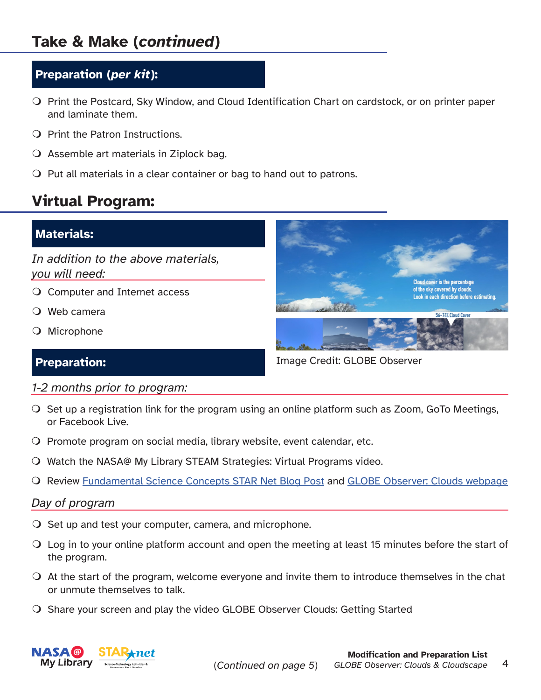#### **Preparation (***per kit***):**

- O Print the Postcard, Sky Window, and Cloud Identification Chart on cardstock, or on printer paper and laminate them.
- $\bigcirc$  Print the Patron Instructions.
- $\overline{O}$  Assemble art materials in Ziplock bag.
- $\overline{O}$  Put all materials in a clear container or bag to hand out to patrons.

### **Virtual Program:**

#### **Materials:**

*In addition to the above materials, you will need:*

- Computer and Internet access
- Web camera
- Microphone



**Preparation: Image Credit: GLOBE Observer** 

- *1-2 months prior to program:*
- $\bigcirc$  Set up a registration link for the program using an online platform such as Zoom, GoTo Meetings, or Facebook Live.
- O Promote program on social media, library website, event calendar, etc.
- Watch the NASA@ My Library STEAM Strategies: Virtual Programs video.
- O Review [Fundamental Science Concepts STAR Net Blog Post](https://www.starnetlibraries.org/our-blue-planet-earth-featured-activity-globe-observer-clouds-and-cloudscapes/) and [GLOBE Observer: Clouds webpage](https://observer.globe.gov/toolkit/clouds-toolkit)

#### *Day of program*

- $\overline{O}$  Set up and test your computer, camera, and microphone.
- Log in to your online platform account and open the meeting at least 15 minutes before the start of the program.
- At the start of the program, welcome everyone and invite them to introduce themselves in the chat or unmute themselves to talk.
- O Share your screen and play the video GLOBE Observer Clouds: Getting Started